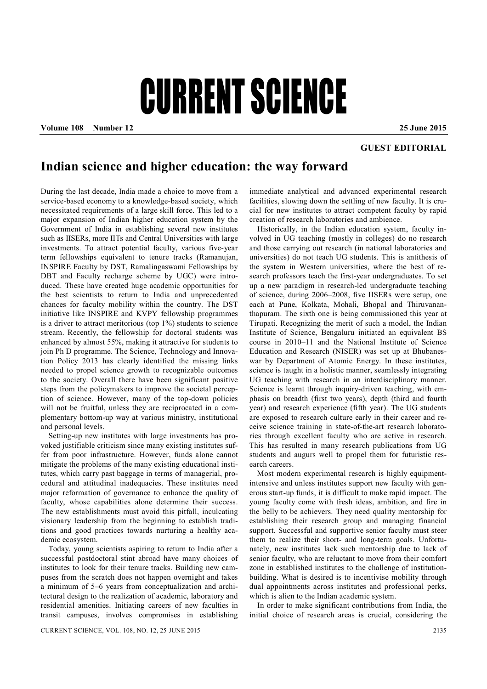## CURRENT SCIENCE

**Volume 108 Number 12 25 June 2015**

## **GUEST EDITORIAL**

## **Indian science and higher education: the way forward**

During the last decade, India made a choice to move from a service-based economy to a knowledge-based society, which necessitated requirements of a large skill force. This led to a major expansion of Indian higher education system by the Government of India in establishing several new institutes such as IISERs, more IITs and Central Universities with large investments. To attract potential faculty, various five-year term fellowships equivalent to tenure tracks (Ramanujan, INSPIRE Faculty by DST, Ramalingaswami Fellowships by DBT and Faculty recharge scheme by UGC) were introduced. These have created huge academic opportunities for the best scientists to return to India and unprecedented chances for faculty mobility within the country. The DST initiative like INSPIRE and KVPY fellowship programmes is a driver to attract meritorious (top 1%) students to science stream. Recently, the fellowship for doctoral students was enhanced by almost 55%, making it attractive for students to join Ph D programme. The Science, Technology and Innovation Policy 2013 has clearly identified the missing links needed to propel science growth to recognizable outcomes to the society. Overall there have been significant positive steps from the policymakers to improve the societal perception of science. However, many of the top-down policies will not be fruitful, unless they are reciprocated in a complementary bottom-up way at various ministry, institutional and personal levels.

Setting-up new institutes with large investments has provoked justifiable criticism since many existing institutes suffer from poor infrastructure. However, funds alone cannot mitigate the problems of the many existing educational institutes, which carry past baggage in terms of managerial, procedural and attitudinal inadequacies. These institutes need major reformation of governance to enhance the quality of faculty, whose capabilities alone determine their success. The new establishments must avoid this pitfall, inculcating visionary leadership from the beginning to establish traditions and good practices towards nurturing a healthy academic ecosystem.

Today, young scientists aspiring to return to India after a successful postdoctoral stint abroad have many choices of institutes to look for their tenure tracks. Building new campuses from the scratch does not happen overnight and takes a minimum of 5–6 years from conceptualization and architectural design to the realization of academic, laboratory and residential amenities. Initiating careers of new faculties in transit campuses, involves compromises in establishing

immediate analytical and advanced experimental research facilities, slowing down the settling of new faculty. It is crucial for new institutes to attract competent faculty by rapid creation of research laboratories and ambience.

Historically, in the Indian education system, faculty involved in UG teaching (mostly in colleges) do no research and those carrying out research (in national laboratories and universities) do not teach UG students. This is antithesis of the system in Western universities, where the best of research professors teach the first-year undergraduates. To set up a new paradigm in research-led undergraduate teaching of science, during 2006–2008, five IISERs were setup, one each at Pune, Kolkata, Mohali, Bhopal and Thiruvananthapuram. The sixth one is being commissioned this year at Tirupati. Recognizing the merit of such a model, the Indian Institute of Science, Bengaluru initiated an equivalent BS course in 2010–11 and the National Institute of Science Education and Research (NISER) was set up at Bhubaneswar by Department of Atomic Energy. In these institutes, science is taught in a holistic manner, seamlessly integrating UG teaching with research in an interdisciplinary manner. Science is learnt through inquiry-driven teaching, with emphasis on breadth (first two years), depth (third and fourth year) and research experience (fifth year). The UG students are exposed to research culture early in their career and receive science training in state-of-the-art research laboratories through excellent faculty who are active in research. This has resulted in many research publications from UG students and augurs well to propel them for futuristic research careers.

Most modern experimental research is highly equipmentintensive and unless institutes support new faculty with generous start-up funds, it is difficult to make rapid impact. The young faculty come with fresh ideas, ambition, and fire in the belly to be achievers. They need quality mentorship for establishing their research group and managing financial support. Successful and supportive senior faculty must steer them to realize their short- and long-term goals. Unfortunately, new institutes lack such mentorship due to lack of senior faculty, who are reluctant to move from their comfort zone in established institutes to the challenge of institutionbuilding. What is desired is to incentivise mobility through dual appointments across institutes and professional perks, which is alien to the Indian academic system.

In order to make significant contributions from India, the initial choice of research areas is crucial, considering the